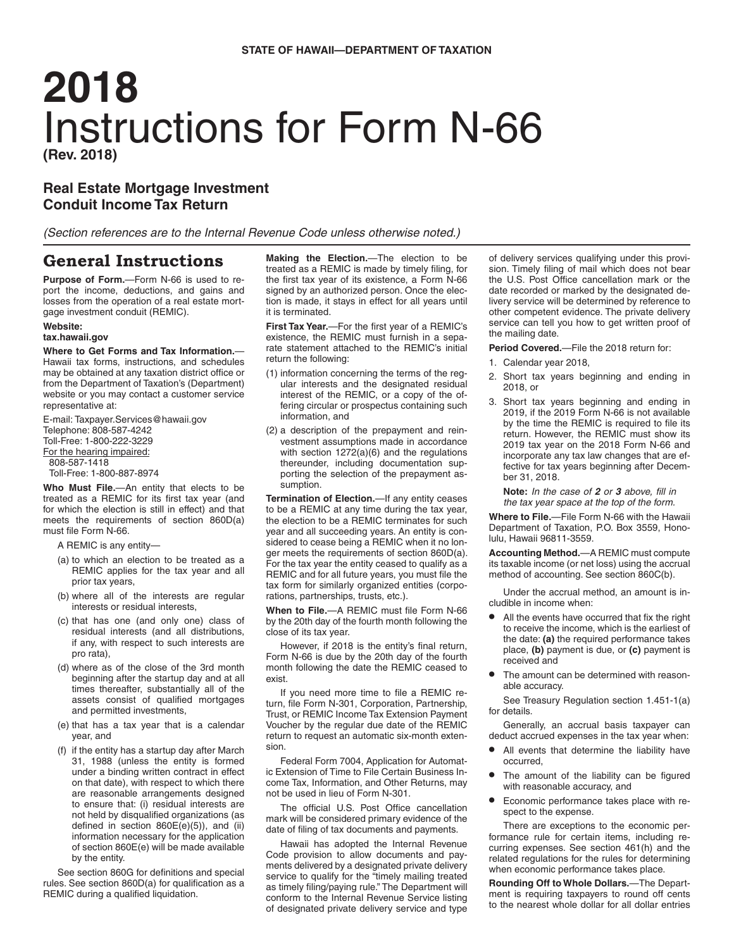# **2018** Instructions for Form N-66 **(Rev. 2018)**

# **Real Estate Mortgage Investment Conduit Income Tax Return**

*(Section references are to the Internal Revenue Code unless otherwise noted.)*

# **General Instructions**

**Purpose of Form.**—Form N-66 is used to report the income, deductions, and gains and losses from the operation of a real estate mortgage investment conduit (REMIC).

#### **Website:**

#### **tax.hawaii.gov**

## **Where to Get Forms and Tax Information.**—

Hawaii tax forms, instructions, and schedules may be obtained at any taxation district office or from the Department of Taxation's (Department) website or you may contact a customer service representative at:

E-mail: Taxpayer.Services@hawaii.gov Telephone: 808-587-4242 Toll-Free: 1-800-222-3229 For the hearing impaired: 808-587-1418 Toll-Free: 1-800-887-8974

**Who Must File.**—An entity that elects to be treated as a REMIC for its first tax year (and for which the election is still in effect) and that meets the requirements of section 860D(a) must file Form N-66.

A REMIC is any entity—

- (a) to which an election to be treated as a REMIC applies for the tax year and all prior tax years,
- (b) where all of the interests are regular interests or residual interests,
- (c) that has one (and only one) class of residual interests (and all distributions, if any, with respect to such interests are pro rata),
- (d) where as of the close of the 3rd month beginning after the startup day and at all times thereafter, substantially all of the assets consist of qualified mortgages and permitted investments,
- (e) that has a tax year that is a calendar year, and
- (f) if the entity has a startup day after March 31, 1988 (unless the entity is formed under a binding written contract in effect on that date), with respect to which there are reasonable arrangements designed to ensure that: (i) residual interests are not held by disqualified organizations (as defined in section 860E(e)(5)), and (ii) information necessary for the application of section 860E(e) will be made available by the entity.

See section 860G for definitions and special rules. See section 860D(a) for qualification as a REMIC during a qualified liquidation.

**Making the Election.**—The election to be treated as a REMIC is made by timely filing, for the first tax year of its existence, a Form N-66 signed by an authorized person. Once the election is made, it stays in effect for all years until it is terminated.

**First Tax Year.**—For the first year of a REMIC's existence, the REMIC must furnish in a separate statement attached to the REMIC's initial return the following:

- (1) information concerning the terms of the regular interests and the designated residual interest of the REMIC, or a copy of the offering circular or prospectus containing such information, and
- (2) a description of the prepayment and reinvestment assumptions made in accordance with section 1272(a)(6) and the regulations thereunder, including documentation supporting the selection of the prepayment assumption.

**Termination of Election.**—If any entity ceases to be a REMIC at any time during the tax year, the election to be a REMIC terminates for such year and all succeeding years. An entity is considered to cease being a REMIC when it no longer meets the requirements of section 860D(a). For the tax year the entity ceased to qualify as a REMIC and for all future years, you must file the tax form for similarly organized entities (corporations, partnerships, trusts, etc.).

**When to File.**—A REMIC must file Form N-66 by the 20th day of the fourth month following the close of its tax year.

However, if 2018 is the entity's final return, Form N-66 is due by the 20th day of the fourth month following the date the REMIC ceased to exist.

If you need more time to file a REMIC return, file Form N-301, Corporation, Partnership, Trust, or REMIC Income Tax Extension Payment Voucher by the regular due date of the REMIC return to request an automatic six-month extension.

Federal Form 7004, Application for Automatic Extension of Time to File Certain Business Income Tax, Information, and Other Returns, may not be used in lieu of Form N-301.

The official U.S. Post Office cancellation mark will be considered primary evidence of the date of filing of tax documents and payments.

Hawaii has adopted the Internal Revenue Code provision to allow documents and payments delivered by a designated private delivery service to qualify for the "timely mailing treated as timely filing/paying rule." The Department will conform to the Internal Revenue Service listing of designated private delivery service and type of delivery services qualifying under this provision. Timely filing of mail which does not bear the U.S. Post Office cancellation mark or the date recorded or marked by the designated delivery service will be determined by reference to other competent evidence. The private delivery service can tell you how to get written proof of the mailing date.

**Period Covered.**—File the 2018 return for:

- 1. Calendar year 2018,
- 2. Short tax years beginning and ending in 2018, or
- 3. Short tax years beginning and ending in 2019, if the 2019 Form N-66 is not available by the time the REMIC is required to file its return. However, the REMIC must show its 2019 tax year on the 2018 Form N-66 and incorporate any tax law changes that are effective for tax years beginning after December 31, 2018.

**Note:** *In the case of 2 or 3 above, fill in the tax year space at the top of the form.*

**Where to File.**—File Form N-66 with the Hawaii Department of Taxation, P.O. Box 3559, Honolulu, Hawaii 96811-3559.

**Accounting Method.**—A REMIC must compute its taxable income (or net loss) using the accrual method of accounting. See section 860C(b).

Under the accrual method, an amount is includible in income when:

- All the events have occurred that fix the right to receive the income, which is the earliest of the date: **(a)** the required performance takes place, **(b)** payment is due, or **(c)** payment is received and
- The amount can be determined with reasonable accuracy.

See Treasury Regulation section 1.451-1(a) for details.

Generally, an accrual basis taxpayer can deduct accrued expenses in the tax year when:

- All events that determine the liability have occurred,
- The amount of the liability can be figured with reasonable accuracy, and
- Economic performance takes place with respect to the expense.

There are exceptions to the economic performance rule for certain items, including recurring expenses. See section 461(h) and the related regulations for the rules for determining when economic performance takes place.

**Rounding Off to Whole Dollars.**—The Department is requiring taxpayers to round off cents to the nearest whole dollar for all dollar entries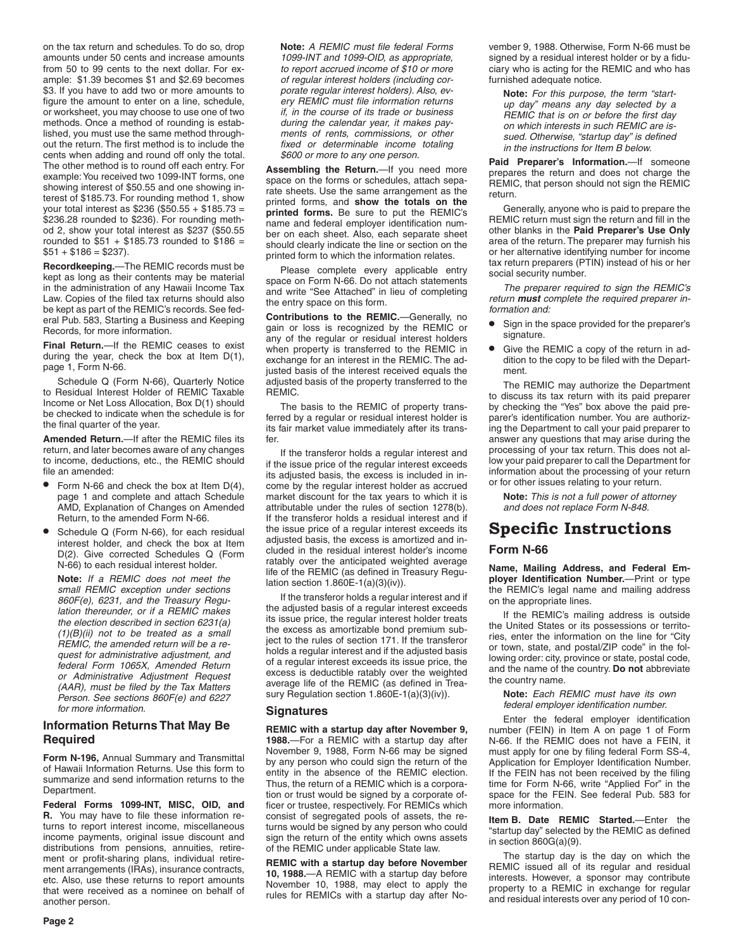on the tax return and schedules. To do so, drop amounts under 50 cents and increase amounts from 50 to 99 cents to the next dollar. For example: \$1.39 becomes \$1 and \$2.69 becomes \$3. If you have to add two or more amounts to figure the amount to enter on a line, schedule, or worksheet, you may choose to use one of two methods. Once a method of rounding is established, you must use the same method throughout the return. The first method is to include the cents when adding and round off only the total. The other method is to round off each entry. For example: You received two 1099-INT forms, one showing interest of \$50.55 and one showing interest of \$185.73. For rounding method 1, show your total interest as \$236 (\$50.55 + \$185.73 = \$236.28 rounded to \$236). For rounding method 2, show your total interest as \$237 (\$50.55 rounded to  $$51 + $185.73$  rounded to  $$186 =$  $$51 + $186 = $237$ ).

**Recordkeeping.**—The REMIC records must be kept as long as their contents may be material in the administration of any Hawaii Income Tax Law. Copies of the filed tax returns should also be kept as part of the REMIC's records. See federal Pub. 583, Starting a Business and Keeping Records, for more information.

**Final Return.**—If the REMIC ceases to exist during the year, check the box at Item D(1), page 1, Form N-66.

Schedule Q (Form N-66), Quarterly Notice to Residual Interest Holder of REMIC Taxable Income or Net Loss Allocation, Box D(1) should be checked to indicate when the schedule is for the final quarter of the year.

**Amended Return.**—If after the REMIC files its return, and later becomes aware of any changes to income, deductions, etc., the REMIC should file an amended:

- Form N-66 and check the box at Item D(4), page 1 and complete and attach Schedule AMD, Explanation of Changes on Amended Return, to the amended Form N-66.
- Schedule Q (Form N-66), for each residual interest holder, and check the box at Item D(2). Give corrected Schedules Q (Form N-66) to each residual interest holder.

**Note:** *If a REMIC does not meet the small REMIC exception under sections 860F(e), 6231, and the Treasury Regulation thereunder, or if a REMIC makes the election described in section 6231(a) (1)(B)(ii) not to be treated as a small REMIC, the amended return will be a request for administrative adjustment, and federal Form 1065X, Amended Return or Administrative Adjustment Request (AAR), must be filed by the Tax Matters Person. See sections 860F(e) and 6227 for more information.*

## **Information Returns That May Be Required**

**Form N-196,** Annual Summary and Transmittal of Hawaii Information Returns. Use this form to summarize and send information returns to the Department.

**Federal Forms 1099-INT, MISC, OID, and R.** You may have to file these information returns to report interest income, miscellaneous income payments, original issue discount and distributions from pensions, annuities, retirement or profit-sharing plans, individual retirement arrangements (IRAs), insurance contracts, etc. Also, use these returns to report amounts that were received as a nominee on behalf of another person.

**Note:** *A REMIC must file federal Forms 1099-INT and 1099-OID, as appropriate, to report accrued income of \$10 or more of regular interest holders (including corporate regular interest holders). Also, every REMIC must file information returns if, in the course of its trade or business during the calendar year, it makes payments of rents, commissions, or other fixed or determinable income totaling \$600 or more to any one person.*

**Assembling the Return.**—If you need more space on the forms or schedules, attach separate sheets. Use the same arrangement as the printed forms, and **show the totals on the printed forms.** Be sure to put the REMIC's name and federal employer identification number on each sheet. Also, each separate sheet should clearly indicate the line or section on the printed form to which the information relates.

Please complete every applicable entry space on Form N-66. Do not attach statements and write "See Attached" in lieu of completing the entry space on this form.

**Contributions to the REMIC.**—Generally, no gain or loss is recognized by the REMIC or any of the regular or residual interest holders when property is transferred to the REMIC in exchange for an interest in the REMIC. The adjusted basis of the interest received equals the adjusted basis of the property transferred to the REMIC.

The basis to the REMIC of property transferred by a regular or residual interest holder is its fair market value immediately after its transfer.

If the transferor holds a regular interest and if the issue price of the regular interest exceeds its adjusted basis, the excess is included in income by the regular interest holder as accrued market discount for the tax years to which it is attributable under the rules of section 1278(b). If the transferor holds a residual interest and if the issue price of a regular interest exceeds its adjusted basis, the excess is amortized and included in the residual interest holder's income ratably over the anticipated weighted average life of the REMIC (as defined in Treasury Regulation section  $1.860E-1(a)(3)(iv)$ .

If the transferor holds a regular interest and if the adjusted basis of a regular interest exceeds its issue price, the regular interest holder treats the excess as amortizable bond premium subject to the rules of section 171. If the transferor holds a regular interest and if the adjusted basis of a regular interest exceeds its issue price, the excess is deductible ratably over the weighted average life of the REMIC (as defined in Treasury Regulation section 1.860E-1(a)(3)(iv)).

## **Signatures**

**REMIC with a startup day after November 9, 1988.**—For a REMIC with a startup day after November 9, 1988, Form N-66 may be signed by any person who could sign the return of the entity in the absence of the REMIC election. Thus, the return of a REMIC which is a corporation or trust would be signed by a corporate officer or trustee, respectively. For REMICs which consist of segregated pools of assets, the returns would be signed by any person who could sign the return of the entity which owns assets of the REMIC under applicable State law.

**REMIC with a startup day before November 10, 1988.**—A REMIC with a startup day before November 10, 1988, may elect to apply the rules for REMICs with a startup day after November 9, 1988. Otherwise, Form N-66 must be signed by a residual interest holder or by a fiduciary who is acting for the REMIC and who has furnished adequate notice.

**Note:** *For this purpose, the term "startup day" means any day selected by a REMIC that is on or before the first day on which interests in such REMIC are issued. Otherwise, "startup day" is defined in the instructions for Item B below.*

**Paid Preparer's Information.**—If someone prepares the return and does not charge the REMIC, that person should not sign the REMIC return.

Generally, anyone who is paid to prepare the REMIC return must sign the return and fill in the other blanks in the **Paid Preparer's Use Only** area of the return. The preparer may furnish his or her alternative identifying number for income tax return preparers (PTIN) instead of his or her social security number.

*The preparer required to sign the REMIC's return must complete the required preparer information and:*

- Sign in the space provided for the preparer's signature.
- Give the REMIC a copy of the return in addition to the copy to be filed with the Department.

The REMIC may authorize the Department to discuss its tax return with its paid preparer by checking the "Yes" box above the paid preparer's identification number. You are authorizing the Department to call your paid preparer to answer any questions that may arise during the processing of your tax return. This does not allow your paid preparer to call the Department for information about the processing of your return or for other issues relating to your return.

**Note:** *This is not a full power of attorney and does not replace Form N-848.*

# **Specific Instructions Form N-66**

**Name, Mailing Address, and Federal Employer Identification Number.**—Print or type the REMIC's legal name and mailing address on the appropriate lines.

If the REMIC's mailing address is outside the United States or its possessions or territories, enter the information on the line for "City or town, state, and postal/ZIP code" in the following order: city, province or state, postal code, and the name of the country. **Do not** abbreviate the country name.

**Note:** *Each REMIC must have its own federal employer identification number.*

Enter the federal employer identification number (FEIN) in Item A on page 1 of Form N-66. If the REMIC does not have a FEIN, it must apply for one by filing federal Form SS-4, Application for Employer Identification Number. If the FEIN has not been received by the filing time for Form N-66, write "Applied For" in the space for the FEIN. See federal Pub. 583 for more information.

**Item B. Date REMIC Started.**—Enter the "startup day" selected by the REMIC as defined in section 860G(a)(9).

The startup day is the day on which the REMIC issued all of its regular and residual interests. However, a sponsor may contribute property to a REMIC in exchange for regular and residual interests over any period of 10 con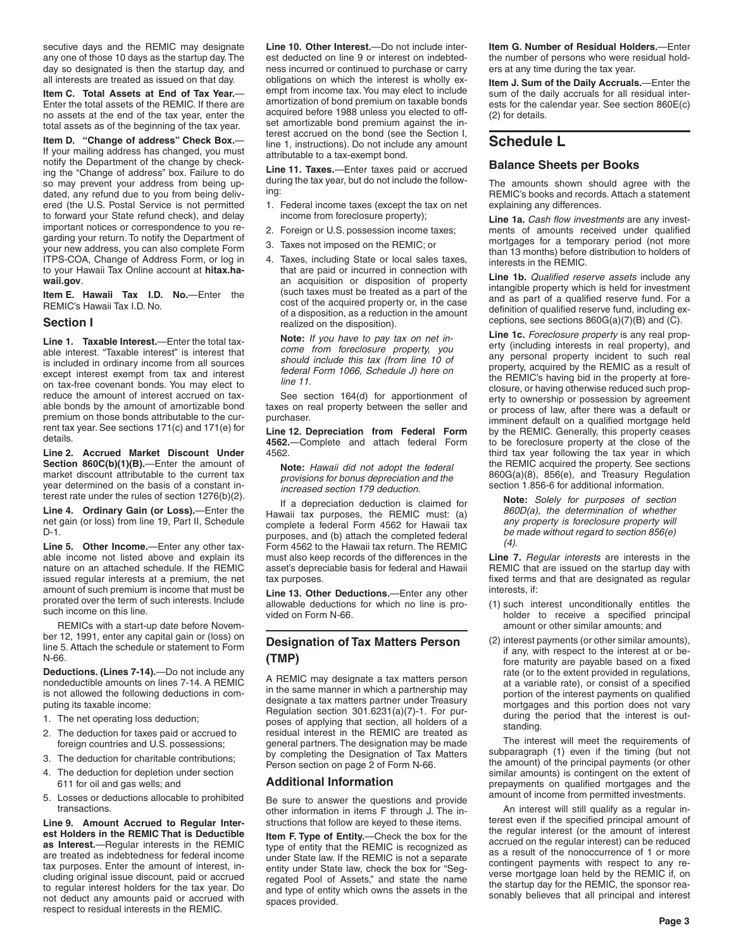secutive days and the REMIC may designate any one of those 10 days as the startup day. The day so designated is then the startup day, and all interests are treated as issued on that day.

**Item C. Total Assets at End of Tax Year.**— Enter the total assets of the REMIC. If there are no assets at the end of the tax year, enter the total assets as of the beginning of the tax year.

**Item D. "Change of address" Check Box.**— If your mailing address has changed, you must notify the Department of the change by checking the "Change of address" box. Failure to do so may prevent your address from being updated, any refund due to you from being delivered (the U.S. Postal Service is not permitted to forward your State refund check), and delay important notices or correspondence to you regarding your return. To notify the Department of your new address, you can also complete Form ITPS-COA, Change of Address Form, or log in to your Hawaii Tax Online account at **hitax.hawaii.gov**.

**Item E. Hawaii Tax I.D. No.**—Enter the REMIC's Hawaii Tax I.D. No.

#### **Section I**

**Line 1. Taxable Interest.**—Enter the total taxable interest. "Taxable interest" is interest that is included in ordinary income from all sources except interest exempt from tax and interest on tax-free covenant bonds. You may elect to reduce the amount of interest accrued on taxable bonds by the amount of amortizable bond premium on those bonds attributable to the current tax year. See sections 171(c) and 171(e) for details.

**Line 2. Accrued Market Discount Under Section 860C(b)(1)(B).**—Enter the amount of market discount attributable to the current tax year determined on the basis of a constant interest rate under the rules of section 1276(b)(2).

**Line 4. Ordinary Gain (or Loss).**—Enter the net gain (or loss) from line 19, Part II, Schedule  $D-1$ .

**Line 5. Other Income.**—Enter any other taxable income not listed above and explain its nature on an attached schedule. If the REMIC issued regular interests at a premium, the net amount of such premium is income that must be prorated over the term of such interests. Include such income on this line.

REMICs with a start-up date before November 12, 1991, enter any capital gain or (loss) on line 5. Attach the schedule or statement to Form N-66.

**Deductions. (Lines 7-14).**—Do not include any nondeductible amounts on lines 7-14. A REMIC is not allowed the following deductions in computing its taxable income:

- 1. The net operating loss deduction;
- 2. The deduction for taxes paid or accrued to foreign countries and U.S. possessions;
- 3. The deduction for charitable contributions;
- 4. The deduction for depletion under section 611 for oil and gas wells; and
- 5. Losses or deductions allocable to prohibited transactions.

**Line 9. Amount Accrued to Regular Interest Holders in the REMIC That is Deductible as Interest.**—Regular interests in the REMIC are treated as indebtedness for federal income tax purposes. Enter the amount of interest, including original issue discount, paid or accrued to regular interest holders for the tax year. Do not deduct any amounts paid or accrued with respect to residual interests in the REMIC.

**Line 10. Other Interest.**—Do not include interest deducted on line 9 or interest on indebtedness incurred or continued to purchase or carry obligations on which the interest is wholly exempt from income tax. You may elect to include amortization of bond premium on taxable bonds acquired before 1988 unless you elected to offset amortizable bond premium against the interest accrued on the bond (see the Section I, line 1, instructions). Do not include any amount attributable to a tax-exempt bond.

**Line 11. Taxes.**—Enter taxes paid or accrued during the tax year, but do not include the following:

- 1. Federal income taxes (except the tax on net income from foreclosure property);
- 2. Foreign or U.S. possession income taxes;
- 3. Taxes not imposed on the REMIC; or
- 4. Taxes, including State or local sales taxes, that are paid or incurred in connection with an acquisition or disposition of property (such taxes must be treated as a part of the cost of the acquired property or, in the case of a disposition, as a reduction in the amount realized on the disposition).

**Note:** *If you have to pay tax on net income from foreclosure property, you should include this tax (from line 10 of federal Form 1066, Schedule J) here on line 11.* 

See section 164(d) for apportionment of taxes on real property between the seller and purchaser.

**Line 12. Depreciation from Federal Form 4562.**—Complete and attach federal Form 4562.

**Note:** *Hawaii did not adopt the federal provisions for bonus depreciation and the increased section 179 deduction.*

If a depreciation deduction is claimed for Hawaii tax purposes, the REMIC must: (a) complete a federal Form 4562 for Hawaii tax purposes, and (b) attach the completed federal Form 4562 to the Hawaii tax return. The REMIC must also keep records of the differences in the asset's depreciable basis for federal and Hawaii tax purposes.

**Line 13. Other Deductions.**—Enter any other allowable deductions for which no line is provided on Form N-66.

## **Designation of Tax Matters Person (TMP)**

A REMIC may designate a tax matters person in the same manner in which a partnership may designate a tax matters partner under Treasury Regulation section 301.6231(a)(7)-1. For purposes of applying that section, all holders of a residual interest in the REMIC are treated as general partners. The designation may be made by completing the Designation of Tax Matters Person section on page 2 of Form N-66.

## **Additional Information**

Be sure to answer the questions and provide other information in items F through J. The instructions that follow are keyed to these items.

**Item F. Type of Entity.**—Check the box for the type of entity that the REMIC is recognized as under State law. If the REMIC is not a separate entity under State law, check the box for "Segregated Pool of Assets," and state the name and type of entity which owns the assets in the spaces provided.

**Item G. Number of Residual Holders.**—Enter the number of persons who were residual holders at any time during the tax year.

**Item J. Sum of the Daily Accruals.**—Enter the sum of the daily accruals for all residual interests for the calendar year. See section 860E(c) (2) for details.

# **Schedule L**

## **Balance Sheets per Books**

The amounts shown should agree with the REMIC's books and records. Attach a statement explaining any differences.

**Line 1a.** *Cash flow investments* are any investments of amounts received under qualified mortgages for a temporary period (not more than 13 months) before distribution to holders of interests in the REMIC.

**Line 1b.** *Qualified reserve assets* include any intangible property which is held for investment and as part of a qualified reserve fund. For a definition of qualified reserve fund, including exceptions, see sections 860G(a)(7)(B) and (C).

**Line 1c.** *Foreclosure property* is any real property (including interests in real property), and any personal property incident to such real property, acquired by the REMIC as a result of the REMIC's having bid in the property at foreclosure, or having otherwise reduced such property to ownership or possession by agreement or process of law, after there was a default or imminent default on a qualified mortgage held by the REMIC. Generally, this property ceases to be foreclosure property at the close of the third tax year following the tax year in which the REMIC acquired the property. See sections 860G(a)(8), 856(e), and Treasury Regulation section 1.856-6 for additional information.

**Note:** *Solely for purposes of section 860D(a), the determination of whether any property is foreclosure property will be made without regard to section 856(e) (4).*

**Line 7.** *Regular interests* are interests in the REMIC that are issued on the startup day with fixed terms and that are designated as regular interests, if:

- (1) such interest unconditionally entitles the holder to receive a specified principal amount or other similar amounts; and
- (2) interest payments (or other similar amounts), if any, with respect to the interest at or before maturity are payable based on a fixed rate (or to the extent provided in regulations, at a variable rate), or consist of a specified portion of the interest payments on qualified mortgages and this portion does not vary during the period that the interest is outstanding.

The interest will meet the requirements of subparagraph (1) even if the timing (but not the amount) of the principal payments (or other similar amounts) is contingent on the extent of prepayments on qualified mortgages and the amount of income from permitted investments.

An interest will still qualify as a regular interest even if the specified principal amount of the regular interest (or the amount of interest accrued on the regular interest) can be reduced as a result of the nonoccurrence of 1 or more contingent payments with respect to any reverse mortgage loan held by the REMIC if, on the startup day for the REMIC, the sponsor reasonably believes that all principal and interest